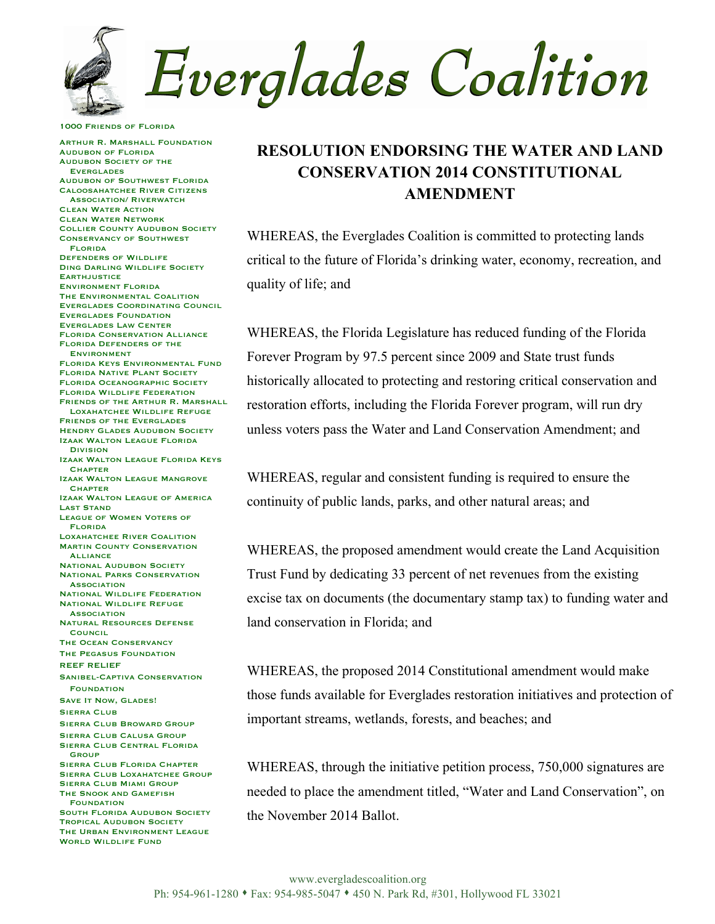**Everglades Coalition** 

1000 Friends of Florida

Arthur R. Marshall Foundation Audubon of Florida Audubon Society of the **EVERGLADES** Audubon of Southwest Florida Caloosahatchee River Citizens Association/ Riverwatch Clean Water Action Clean Water Network Collier County Audubon Society Conservancy of Southwest Florida Defenders of Wildlife Ding Darling Wildlife Society **EARTHJUSTICE** Environment Florida The Environmental Coalition Everglades Coordinating Council Everglades Foundation Everglades Law Center Florida Conservation Alliance Florida Defenders of the Environment Florida Keys Environmental Fund Florida Native Plant Society Florida Oceanographic Society Florida Wildlife Federation FRIENDS OF THE ARTHUR R. MARSHALL. Loxahatchee Wildlife Refuge Friends of the Everglades **HENDRY GLADES AUDUBON SOCIETY** Izaak Walton League Florida Division Izaak Walton League Florida Keys **CHAPTER** Izaak Walton League Mangrove **CHAPTER** Izaak Walton League of America Last Stand League of Women Voters of Florida Loxahatchee River Coalition **MARTIN COUNTY CONSERVATION ALLIANCE NATIONAL AUDUBON SOCIETY** National Parks Conservation **ASSOCIATION** National Wildlife Federation National Wildlife Refuge **ASSOCIATION** Natural Resources Defense **COUNCIL** The Ocean Conservancy The Pegasus Foundation REEF RELIEF Sanibel-Captiva Conservation **FOUNDATION** SAVE IT NOW, GLADES! SIERRA CLUB Sierra Club Broward Group Sierra Club Calusa Group Sierra Club Central Florida **GROUP** Sierra Club Florida Chapter SIERRA CLUB LOXAHATCHEE GROUP Sierra Club Miami Group The Snook and Gamefish **FOUNDATION** SOUTH FLORIDA AUDUBON SOCIETY Tropical Audubon Society The Urban Environment League WORLD WILDLIFE FUND

## **RESOLUTION ENDORSING THE WATER AND LAND CONSERVATION 2014 CONSTITUTIONAL AMENDMENT**

WHEREAS, the Everglades Coalition is committed to protecting lands critical to the future of Florida's drinking water, economy, recreation, and quality of life; and

WHEREAS, the Florida Legislature has reduced funding of the Florida Forever Program by 97.5 percent since 2009 and State trust funds historically allocated to protecting and restoring critical conservation and restoration efforts, including the Florida Forever program, will run dry unless voters pass the Water and Land Conservation Amendment; and

WHEREAS, regular and consistent funding is required to ensure the continuity of public lands, parks, and other natural areas; and

WHEREAS, the proposed amendment would create the Land Acquisition Trust Fund by dedicating 33 percent of net revenues from the existing excise tax on documents (the documentary stamp tax) to funding water and land conservation in Florida; and

WHEREAS, the proposed 2014 Constitutional amendment would make those funds available for Everglades restoration initiatives and protection of important streams, wetlands, forests, and beaches; and

WHEREAS, through the initiative petition process, 750,000 signatures are needed to place the amendment titled, "Water and Land Conservation", on the November 2014 Ballot.